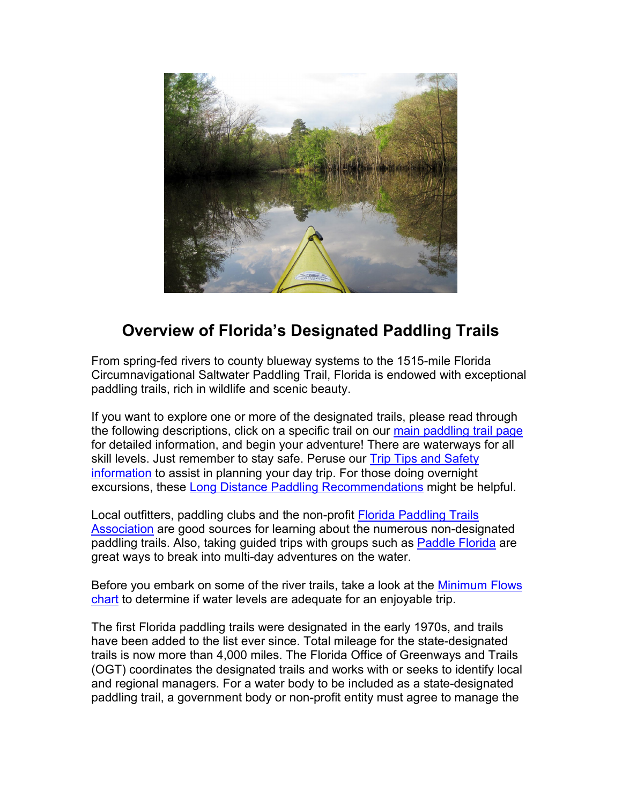

# **Overview of Florida's Designated Paddling Trails**

From spring-fed rivers to county blueway systems to the 1515-mile Florida Circumnavigational Saltwater Paddling Trail, Florida is endowed with exceptional paddling trails, rich in wildlife and scenic beauty.

If you want to explore one or more of the designated trails, please read through the following descriptions, click on a specific trail on our [main paddling trail page](https://floridadep.gov/PaddlingTrails) for detailed information, and begin your adventure! There are waterways for all skill levels. Just remember to stay safe. Peruse our Trip Tips and Safety [information](https://floridadep.gov/sites/default/files/Day%20Trip%20Paddling%20Tips%20and%20Safety%20recommendations.pdf) to assist in planning your day trip. For those doing overnight excursions, these [Long Distance Paddling Recommendations](https://floridadep.gov/sites/default/files/Long%20Distance%20Paddling%20Recommendations_1.pdf) might be helpful.

Local outfitters, paddling clubs and the non-profit [Florida Paddling Trails](http://www.floridapaddlingtrails.com/)  [Association](http://www.floridapaddlingtrails.com/) are good sources for learning about the numerous non-designated paddling trails. Also, taking guided trips with groups such as [Paddle Florida](http://www.paddleflorida.org/) are great ways to break into multi-day adventures on the water.

Before you embark on some of the river trails, take a look at the [Minimum Flows](https://floridadep.gov/sites/default/files/Minimum%20Flows%20Chart_0.pdf) [chart](https://floridadep.gov/sites/default/files/Minimum%20Flows%20Chart_0.pdf) to determine if water levels are adequate for an enjoyable trip.

The first Florida paddling trails were designated in the early 1970s, and trails have been added to the list ever since. Total mileage for the state-designated trails is now more than 4,000 miles. The Florida Office of Greenways and Trails (OGT) coordinates the designated trails and works with or seeks to identify local and regional managers. For a water body to be included as a state-designated paddling trail, a government body or non-profit entity must agree to manage the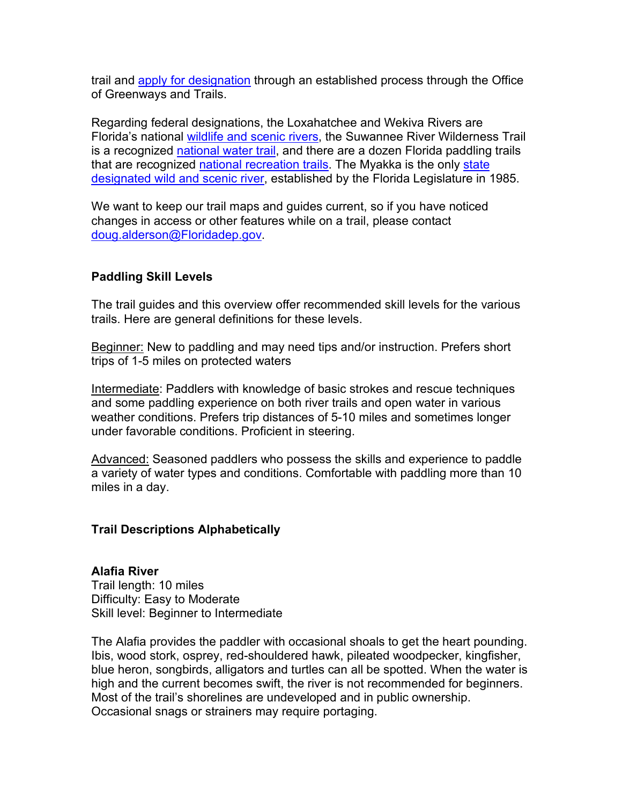trail and [apply for designation](https://floridadep.gov/parks/ogt/content/designations) through an established process through the Office of Greenways and Trails.

Regarding federal designations, the Loxahatchee and Wekiva Rivers are Florida's national [wildlife and scenic rivers,](https://www.rivers.gov/florida.php) the Suwannee River Wilderness Trail is a recognized [national water trail,](https://www.nrtdatabase.org/trailDetail.php?recordID=3995) and there are a dozen Florida paddling trails that are recognized [national recreation trails.](https://www.nrtdatabase.org/trailList.php?usrTrailName=&usrTrailSystem=&usrTrailState=FL&usrTrailCounty=&usrTrailLength=0&chkWater=on&usrTrailUse=&usrTrailUse2=&usrAgency=&usrYearDesignated=&btnDetailedSearch=Search+the+Database) The Myakka is the only state [designated wild and scenic river,](https://www.friendsofmyakkariver.org/Wild-and-Scenic-River#:%7E:text=The%20Myakka%20was%20designated%20as,the%20river%20within%20Sarasota%20County.) established by the Florida Legislature in 1985.

We want to keep our trail maps and guides current, so if you have noticed changes in access or other features while on a trail, please contact [doug.alderson@Floridadep.gov.](mailto:doug.alderson@Floridadep.gov)

# **Paddling Skill Levels**

The trail guides and this overview offer recommended skill levels for the various trails. Here are general definitions for these levels.

Beginner: New to paddling and may need tips and/or instruction. Prefers short trips of 1-5 miles on protected waters

Intermediate: Paddlers with knowledge of basic strokes and rescue techniques and some paddling experience on both river trails and open water in various weather conditions. Prefers trip distances of 5-10 miles and sometimes longer under favorable conditions. Proficient in steering.

Advanced: Seasoned paddlers who possess the skills and experience to paddle a variety of water types and conditions. Comfortable with paddling more than 10 miles in a day.

# **Trail Descriptions Alphabetically**

**Alafia River**  Trail length: 10 miles Difficulty: Easy to Moderate Skill level: Beginner to Intermediate

The Alafia provides the paddler with occasional shoals to get the heart pounding. Ibis, wood stork, osprey, red-shouldered hawk, pileated woodpecker, kingfisher, blue heron, songbirds, alligators and turtles can all be spotted. When the water is high and the current becomes swift, the river is not recommended for beginners. Most of the trail's shorelines are undeveloped and in public ownership. Occasional snags or strainers may require portaging.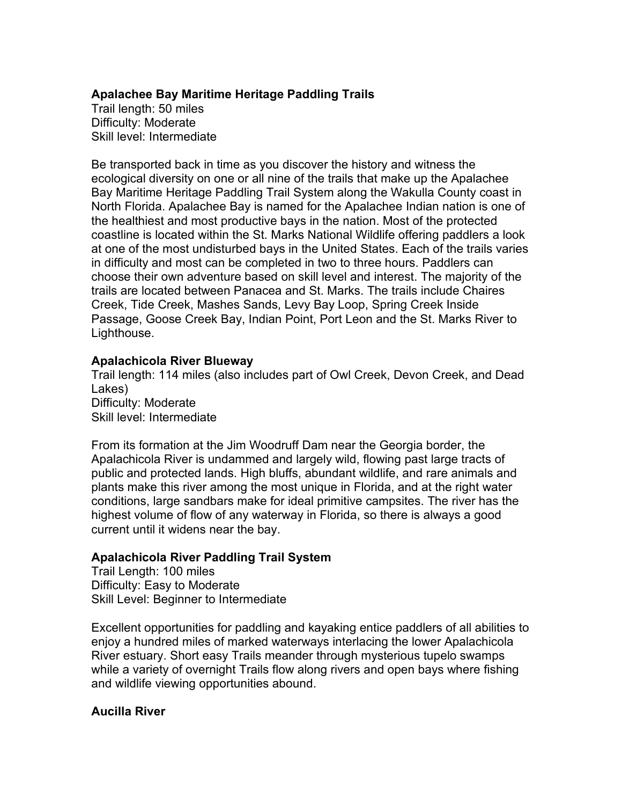# **Apalachee Bay Maritime Heritage Paddling Trails**

Trail length: 50 miles Difficulty: Moderate Skill level: Intermediate

Be transported back in time as you discover the history and witness the ecological diversity on one or all nine of the trails that make up the Apalachee Bay Maritime Heritage Paddling Trail System along the Wakulla County coast in North Florida. Apalachee Bay is named for the Apalachee Indian nation is one of the healthiest and most productive bays in the nation. Most of the protected coastline is located within the St. Marks National Wildlife offering paddlers a look at one of the most undisturbed bays in the United States. Each of the trails varies in difficulty and most can be completed in two to three hours. Paddlers can choose their own adventure based on skill level and interest. The majority of the trails are located between Panacea and St. Marks. The trails include Chaires Creek, Tide Creek, Mashes Sands, Levy Bay Loop, Spring Creek Inside Passage, Goose Creek Bay, Indian Point, Port Leon and the St. Marks River to Lighthouse.

## **Apalachicola River Blueway**

Trail length: 114 miles (also includes part of Owl Creek, Devon Creek, and Dead Lakes) Difficulty: Moderate Skill level: Intermediate

From its formation at the Jim Woodruff Dam near the Georgia border, the Apalachicola River is undammed and largely wild, flowing past large tracts of public and protected lands. High bluffs, abundant wildlife, and rare animals and plants make this river among the most unique in Florida, and at the right water conditions, large sandbars make for ideal primitive campsites. The river has the highest volume of flow of any waterway in Florida, so there is always a good current until it widens near the bay.

# **Apalachicola River Paddling Trail System**

Trail Length: 100 miles Difficulty: Easy to Moderate Skill Level: Beginner to Intermediate

Excellent opportunities for paddling and kayaking entice paddlers of all abilities to enjoy a hundred miles of marked waterways interlacing the lower Apalachicola River estuary. Short easy Trails meander through mysterious tupelo swamps while a variety of overnight Trails flow along rivers and open bays where fishing and wildlife viewing opportunities abound.

# **Aucilla River**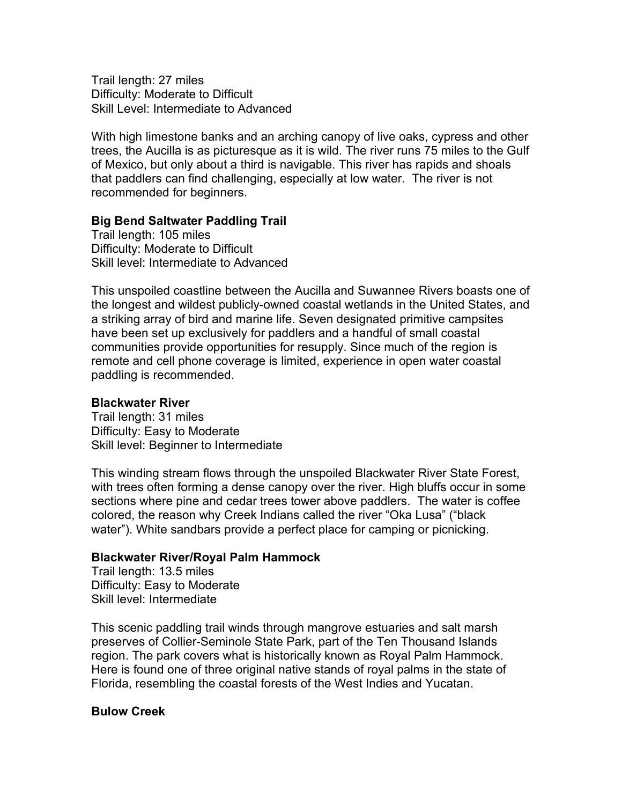Trail length: 27 miles Difficulty: Moderate to Difficult Skill Level: Intermediate to Advanced

With high limestone banks and an arching canopy of live oaks, cypress and other trees, the Aucilla is as picturesque as it is wild. The river runs 75 miles to the Gulf of Mexico, but only about a third is navigable. This river has rapids and shoals that paddlers can find challenging, especially at low water. The river is not recommended for beginners.

## **Big Bend Saltwater Paddling Trail**

Trail length: 105 miles Difficulty: Moderate to Difficult Skill level: Intermediate to Advanced

This unspoiled coastline between the Aucilla and Suwannee Rivers boasts one of the longest and wildest publicly-owned coastal wetlands in the United States, and a striking array of bird and marine life. Seven designated primitive campsites have been set up exclusively for paddlers and a handful of small coastal communities provide opportunities for resupply. Since much of the region is remote and cell phone coverage is limited, experience in open water coastal paddling is recommended.

## **Blackwater River**

Trail length: 31 miles Difficulty: Easy to Moderate Skill level: Beginner to Intermediate

This winding stream flows through the unspoiled Blackwater River State Forest, with trees often forming a dense canopy over the river. High bluffs occur in some sections where pine and cedar trees tower above paddlers. The water is coffee colored, the reason why Creek Indians called the river "Oka Lusa" ("black water"). White sandbars provide a perfect place for camping or picnicking.

## **Blackwater River/Royal Palm Hammock**

Trail length: 13.5 miles Difficulty: Easy to Moderate Skill level: Intermediate

This scenic paddling trail winds through mangrove estuaries and salt marsh preserves of Collier-Seminole State Park, part of the Ten Thousand Islands region. The park covers what is historically known as Royal Palm Hammock. Here is found one of three original native stands of royal palms in the state of Florida, resembling the coastal forests of the West Indies and Yucatan.

## **Bulow Creek**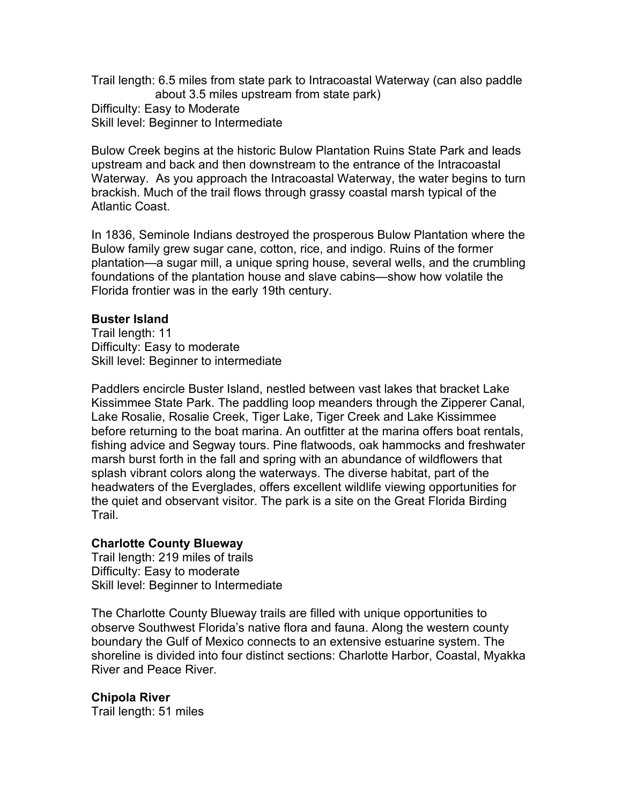Trail length: 6.5 miles from state park to Intracoastal Waterway (can also paddle about 3.5 miles upstream from state park) Difficulty: Easy to Moderate Skill level: Beginner to Intermediate

Bulow Creek begins at the historic Bulow Plantation Ruins State Park and leads upstream and back and then downstream to the entrance of the Intracoastal Waterway. As you approach the Intracoastal Waterway, the water begins to turn brackish. Much of the trail flows through grassy coastal marsh typical of the Atlantic Coast.

In 1836, Seminole Indians destroyed the prosperous Bulow Plantation where the Bulow family grew sugar cane, cotton, rice, and indigo. Ruins of the former plantation—a sugar mill, a unique spring house, several wells, and the crumbling foundations of the plantation house and slave cabins—show how volatile the Florida frontier was in the early 19th century.

## **Buster Island**

Trail length: 11 Difficulty: Easy to moderate Skill level: Beginner to intermediate

Paddlers encircle Buster Island, nestled between vast lakes that bracket Lake Kissimmee State Park. The paddling loop meanders through the Zipperer Canal, Lake Rosalie, Rosalie Creek, Tiger Lake, Tiger Creek and Lake Kissimmee before returning to the boat marina. An outfitter at the marina offers boat rentals, fishing advice and Segway tours. Pine flatwoods, oak hammocks and freshwater marsh burst forth in the fall and spring with an abundance of wildflowers that splash vibrant colors along the waterways. The diverse habitat, part of the headwaters of the Everglades, offers excellent wildlife viewing opportunities for the quiet and observant visitor. The park is a site on the Great Florida Birding Trail.

## **Charlotte County Blueway**

Trail length: 219 miles of trails Difficulty: Easy to moderate Skill level: Beginner to Intermediate

The Charlotte County Blueway trails are filled with unique opportunities to observe Southwest Florida's native flora and fauna. Along the western county boundary the Gulf of Mexico connects to an extensive estuarine system. The shoreline is divided into four distinct sections: Charlotte Harbor, Coastal, Myakka River and Peace River.

#### **Chipola River**

Trail length: 51 miles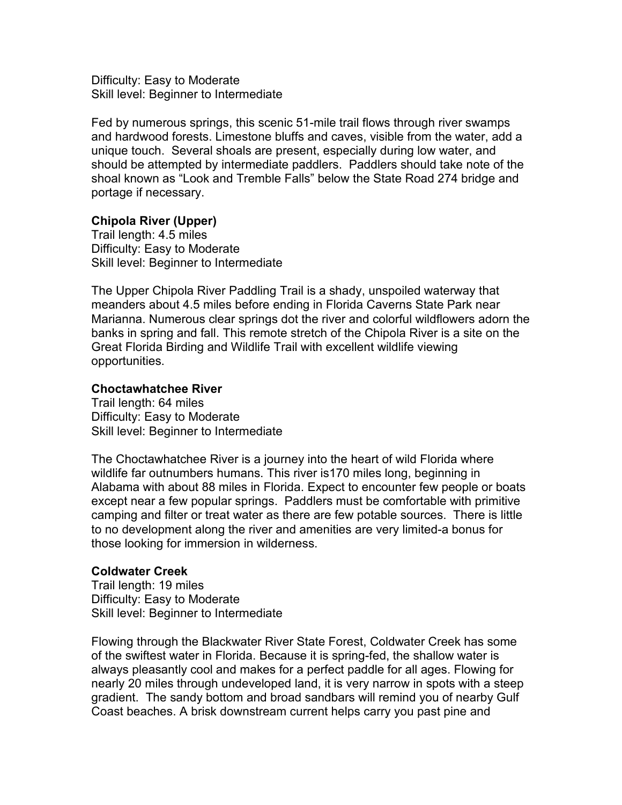Difficulty: Easy to Moderate Skill level: Beginner to Intermediate

Fed by numerous springs, this scenic 51-mile trail flows through river swamps and hardwood forests. Limestone bluffs and caves, visible from the water, add a unique touch. Several shoals are present, especially during low water, and should be attempted by intermediate paddlers. Paddlers should take note of the shoal known as "Look and Tremble Falls" below the State Road 274 bridge and portage if necessary.

## **Chipola River (Upper)**

Trail length: 4.5 miles Difficulty: Easy to Moderate Skill level: Beginner to Intermediate

The Upper Chipola River Paddling Trail is a shady, unspoiled waterway that meanders about 4.5 miles before ending in Florida Caverns State Park near Marianna. Numerous clear springs dot the river and colorful wildflowers adorn the banks in spring and fall. This remote stretch of the Chipola River is a site on the Great Florida Birding and Wildlife Trail with excellent wildlife viewing opportunities.

## **Choctawhatchee River**

Trail length: 64 miles Difficulty: Easy to Moderate Skill level: Beginner to Intermediate

The Choctawhatchee River is a journey into the heart of wild Florida where wildlife far outnumbers humans. This river is170 miles long, beginning in Alabama with about 88 miles in Florida. Expect to encounter few people or boats except near a few popular springs. Paddlers must be comfortable with primitive camping and filter or treat water as there are few potable sources. There is little to no development along the river and amenities are very limited-a bonus for those looking for immersion in wilderness.

## **Coldwater Creek**

Trail length: 19 miles Difficulty: Easy to Moderate Skill level: Beginner to Intermediate

Flowing through the Blackwater River State Forest, Coldwater Creek has some of the swiftest water in Florida. Because it is spring-fed, the shallow water is always pleasantly cool and makes for a perfect paddle for all ages. Flowing for nearly 20 miles through undeveloped land, it is very narrow in spots with a steep gradient. The sandy bottom and broad sandbars will remind you of nearby Gulf Coast beaches. A brisk downstream current helps carry you past pine and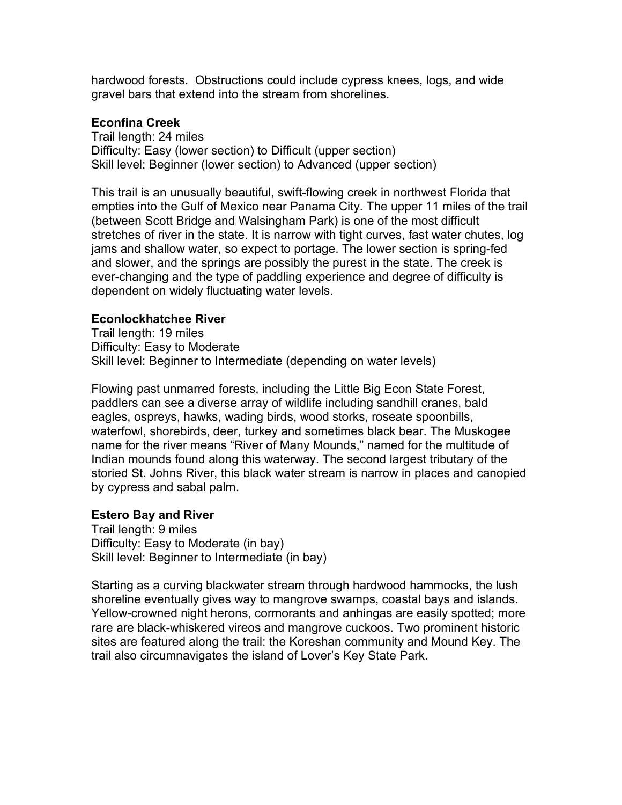hardwood forests. Obstructions could include cypress knees, logs, and wide gravel bars that extend into the stream from shorelines.

## **Econfina Creek**

Trail length: 24 miles Difficulty: Easy (lower section) to Difficult (upper section) Skill level: Beginner (lower section) to Advanced (upper section)

This trail is an unusually beautiful, swift-flowing creek in northwest Florida that empties into the Gulf of Mexico near Panama City. The upper 11 miles of the trail (between Scott Bridge and Walsingham Park) is one of the most difficult stretches of river in the state. It is narrow with tight curves, fast water chutes, log jams and shallow water, so expect to portage. The lower section is spring-fed and slower, and the springs are possibly the purest in the state. The creek is ever-changing and the type of paddling experience and degree of difficulty is dependent on widely fluctuating water levels.

## **Econlockhatchee River**

Trail length: 19 miles Difficulty: Easy to Moderate Skill level: Beginner to Intermediate (depending on water levels)

Flowing past unmarred forests, including the Little Big Econ State Forest, paddlers can see a diverse array of wildlife including sandhill cranes, bald eagles, ospreys, hawks, wading birds, wood storks, roseate spoonbills, waterfowl, shorebirds, deer, turkey and sometimes black bear. The Muskogee name for the river means "River of Many Mounds," named for the multitude of Indian mounds found along this waterway. The second largest tributary of the storied St. Johns River, this black water stream is narrow in places and canopied by cypress and sabal palm.

# **Estero Bay and River**

Trail length: 9 miles Difficulty: Easy to Moderate (in bay) Skill level: Beginner to Intermediate (in bay)

Starting as a curving blackwater stream through hardwood hammocks, the lush shoreline eventually gives way to mangrove swamps, coastal bays and islands. Yellow-crowned night herons, cormorants and anhingas are easily spotted; more rare are black-whiskered vireos and mangrove cuckoos. Two prominent historic sites are featured along the trail: the Koreshan community and Mound Key. The trail also circumnavigates the island of Lover's Key State Park.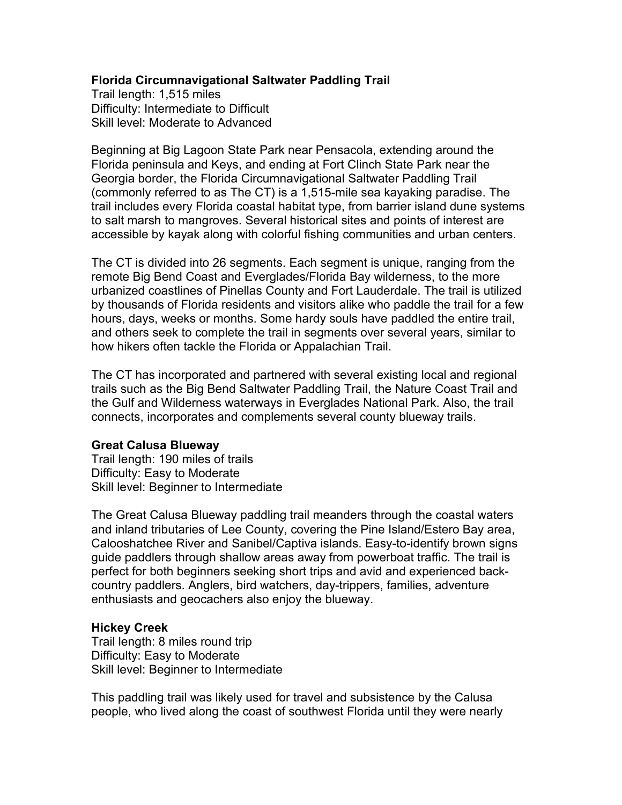## **Florida Circumnavigational Saltwater Paddling Trail**

Trail length: 1,515 miles Difficulty: Intermediate to Difficult Skill level: Moderate to Advanced

Beginning at Big Lagoon State Park near Pensacola, extending around the Florida peninsula and Keys, and ending at Fort Clinch State Park near the Georgia border, the Florida Circumnavigational Saltwater Paddling Trail (commonly referred to as The CT) is a 1,515-mile sea kayaking paradise. The trail includes every Florida coastal habitat type, from barrier island dune systems to salt marsh to mangroves. Several historical sites and points of interest are accessible by kayak along with colorful fishing communities and urban centers.

The CT is divided into 26 segments. Each segment is unique, ranging from the remote Big Bend Coast and Everglades/Florida Bay wilderness, to the more urbanized coastlines of Pinellas County and Fort Lauderdale. The trail is utilized by thousands of Florida residents and visitors alike who paddle the trail for a few hours, days, weeks or months. Some hardy souls have paddled the entire trail, and others seek to complete the trail in segments over several years, similar to how hikers often tackle the Florida or Appalachian Trail.

The CT has incorporated and partnered with several existing local and regional trails such as the Big Bend Saltwater Paddling Trail, the Nature Coast Trail and the Gulf and Wilderness waterways in Everglades National Park. Also, the trail connects, incorporates and complements several county blueway trails.

## **Great Calusa Blueway**

Trail length: 190 miles of trails Difficulty: Easy to Moderate Skill level: Beginner to Intermediate

The Great Calusa Blueway paddling trail meanders through the coastal waters and inland tributaries of Lee County, covering the Pine Island/Estero Bay area, Calooshatchee River and Sanibel/Captiva islands. Easy-to-identify brown signs guide paddlers through shallow areas away from powerboat traffic. The trail is perfect for both beginners seeking short trips and avid and experienced backcountry paddlers. Anglers, bird watchers, day-trippers, families, adventure enthusiasts and geocachers also enjoy the blueway.

## **Hickey Creek**

Trail length: 8 miles round trip Difficulty: Easy to Moderate Skill level: Beginner to Intermediate

This paddling trail was likely used for travel and subsistence by the Calusa people, who lived along the coast of southwest Florida until they were nearly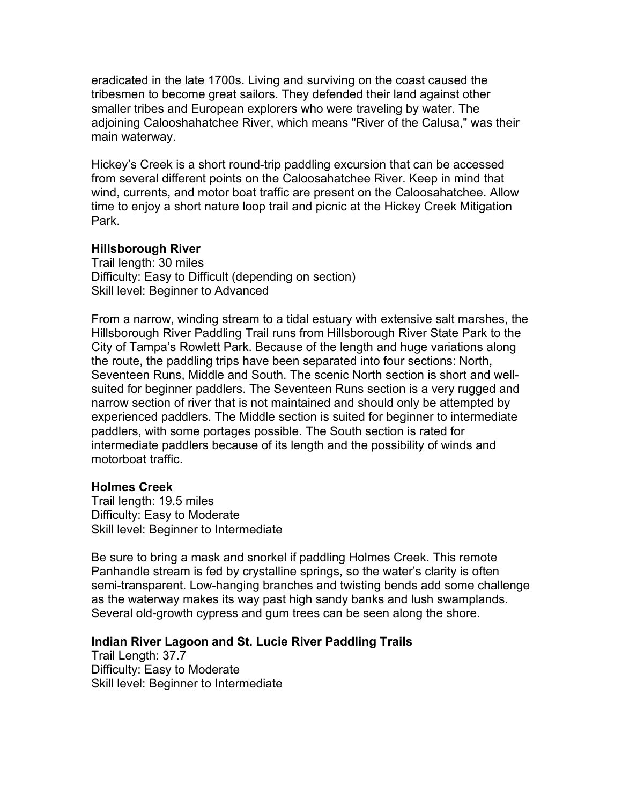eradicated in the late 1700s. Living and surviving on the coast caused the tribesmen to become great sailors. They defended their land against other smaller tribes and European explorers who were traveling by water. The adjoining Calooshahatchee River, which means "River of the Calusa," was their main waterway.

Hickey's Creek is a short round-trip paddling excursion that can be accessed from several different points on the Caloosahatchee River. Keep in mind that wind, currents, and motor boat traffic are present on the Caloosahatchee. Allow time to enjoy a short nature loop trail and picnic at the Hickey Creek Mitigation Park.

#### **Hillsborough River**

Trail length: 30 miles Difficulty: Easy to Difficult (depending on section) Skill level: Beginner to Advanced

From a narrow, winding stream to a tidal estuary with extensive salt marshes, the Hillsborough River Paddling Trail runs from Hillsborough River State Park to the City of Tampa's Rowlett Park. Because of the length and huge variations along the route, the paddling trips have been separated into four sections: North, Seventeen Runs, Middle and South. The scenic North section is short and wellsuited for beginner paddlers. The Seventeen Runs section is a very rugged and narrow section of river that is not maintained and should only be attempted by experienced paddlers. The Middle section is suited for beginner to intermediate paddlers, with some portages possible. The South section is rated for intermediate paddlers because of its length and the possibility of winds and motorboat traffic.

## **Holmes Creek**

Trail length: 19.5 miles Difficulty: Easy to Moderate Skill level: Beginner to Intermediate

Be sure to bring a mask and snorkel if paddling Holmes Creek. This remote Panhandle stream is fed by crystalline springs, so the water's clarity is often semi-transparent. Low-hanging branches and twisting bends add some challenge as the waterway makes its way past high sandy banks and lush swamplands. Several old-growth cypress and gum trees can be seen along the shore.

## **Indian River Lagoon and St. Lucie River Paddling Trails**

Trail Length: 37.7 Difficulty: Easy to Moderate Skill level: Beginner to Intermediate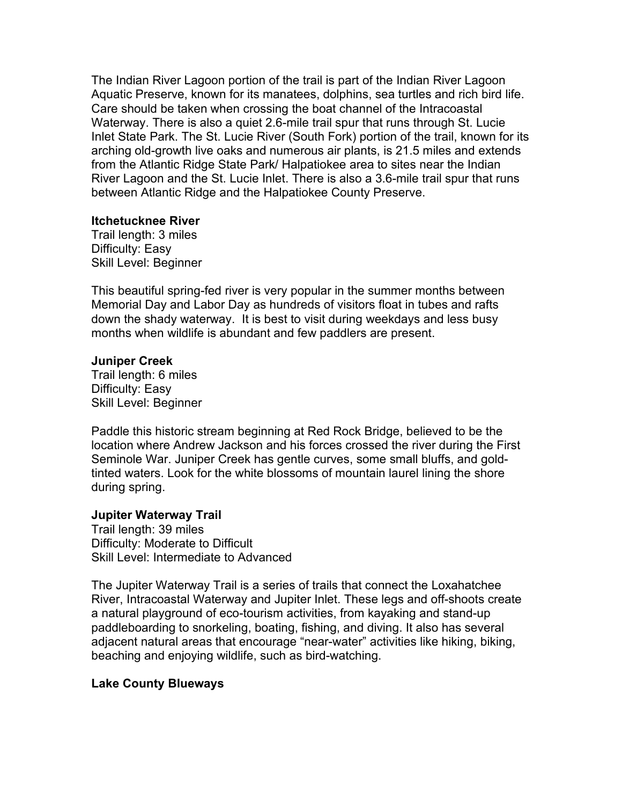The Indian River Lagoon portion of the trail is part of the Indian River Lagoon Aquatic Preserve, known for its manatees, dolphins, sea turtles and rich bird life. Care should be taken when crossing the boat channel of the Intracoastal Waterway. There is also a quiet 2.6-mile trail spur that runs through St. Lucie Inlet State Park. The St. Lucie River (South Fork) portion of the trail, known for its arching old-growth live oaks and numerous air plants, is 21.5 miles and extends from the Atlantic Ridge State Park/ Halpatiokee area to sites near the Indian River Lagoon and the St. Lucie Inlet. There is also a 3.6-mile trail spur that runs between Atlantic Ridge and the Halpatiokee County Preserve.

## **Itchetucknee River**

Trail length: 3 miles Difficulty: Easy Skill Level: Beginner

This beautiful spring-fed river is very popular in the summer months between Memorial Day and Labor Day as hundreds of visitors float in tubes and rafts down the shady waterway. It is best to visit during weekdays and less busy months when wildlife is abundant and few paddlers are present.

## **Juniper Creek**

Trail length: 6 miles Difficulty: Easy Skill Level: Beginner

Paddle this historic stream beginning at Red Rock Bridge, believed to be the location where Andrew Jackson and his forces crossed the river during the First Seminole War. Juniper Creek has gentle curves, some small bluffs, and goldtinted waters. Look for the white blossoms of mountain laurel lining the shore during spring.

# **Jupiter Waterway Trail**

Trail length: 39 miles Difficulty: Moderate to Difficult Skill Level: Intermediate to Advanced

The Jupiter Waterway Trail is a series of trails that connect the Loxahatchee River, Intracoastal Waterway and Jupiter Inlet. These legs and off-shoots create a natural playground of eco-tourism activities, from kayaking and stand-up paddleboarding to snorkeling, boating, fishing, and diving. It also has several adjacent natural areas that encourage "near-water" activities like hiking, biking, beaching and enjoying wildlife, such as bird-watching.

# **Lake County Blueways**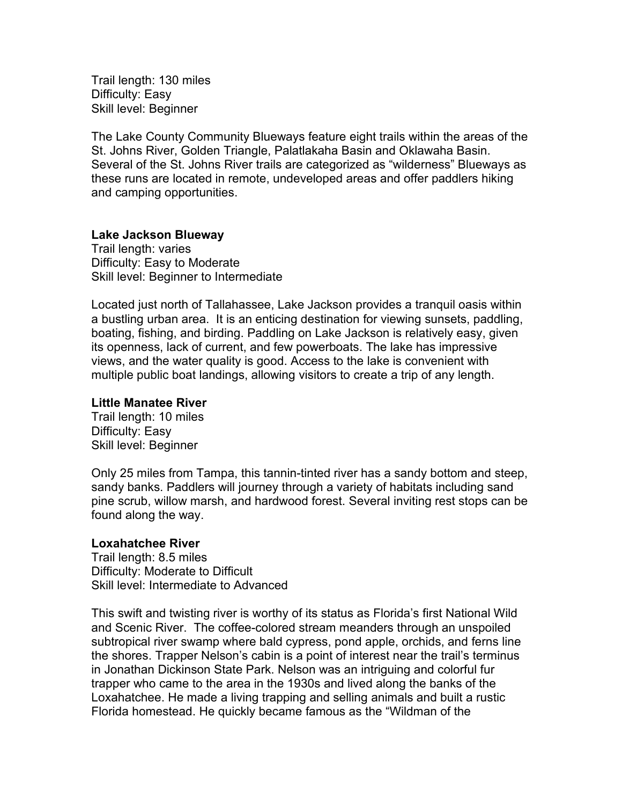Trail length: 130 miles Difficulty: Easy Skill level: Beginner

The Lake County Community Blueways feature eight trails within the areas of the St. Johns River, Golden Triangle, Palatlakaha Basin and Oklawaha Basin. Several of the St. Johns River trails are categorized as "wilderness" Blueways as these runs are located in remote, undeveloped areas and offer paddlers hiking and camping opportunities.

## **Lake Jackson Blueway**

Trail length: varies Difficulty: Easy to Moderate Skill level: Beginner to Intermediate

Located just north of Tallahassee, Lake Jackson provides a tranquil oasis within a bustling urban area. It is an enticing destination for viewing sunsets, paddling, boating, fishing, and birding. Paddling on Lake Jackson is relatively easy, given its openness, lack of current, and few powerboats. The lake has impressive views, and the water quality is good. Access to the lake is convenient with multiple public boat landings, allowing visitors to create a trip of any length.

## **Little Manatee River**

Trail length: 10 miles Difficulty: Easy Skill level: Beginner

Only 25 miles from Tampa, this tannin-tinted river has a sandy bottom and steep, sandy banks. Paddlers will journey through a variety of habitats including sand pine scrub, willow marsh, and hardwood forest. Several inviting rest stops can be found along the way.

## **Loxahatchee River**

Trail length: 8.5 miles Difficulty: Moderate to Difficult Skill level: Intermediate to Advanced

This swift and twisting river is worthy of its status as Florida's first National Wild and Scenic River. The coffee-colored stream meanders through an unspoiled subtropical river swamp where bald cypress, pond apple, orchids, and ferns line the shores. Trapper Nelson's cabin is a point of interest near the trail's terminus in Jonathan Dickinson State Park. Nelson was an intriguing and colorful fur trapper who came to the area in the 1930s and lived along the banks of the Loxahatchee. He made a living trapping and selling animals and built a rustic Florida homestead. He quickly became famous as the "Wildman of the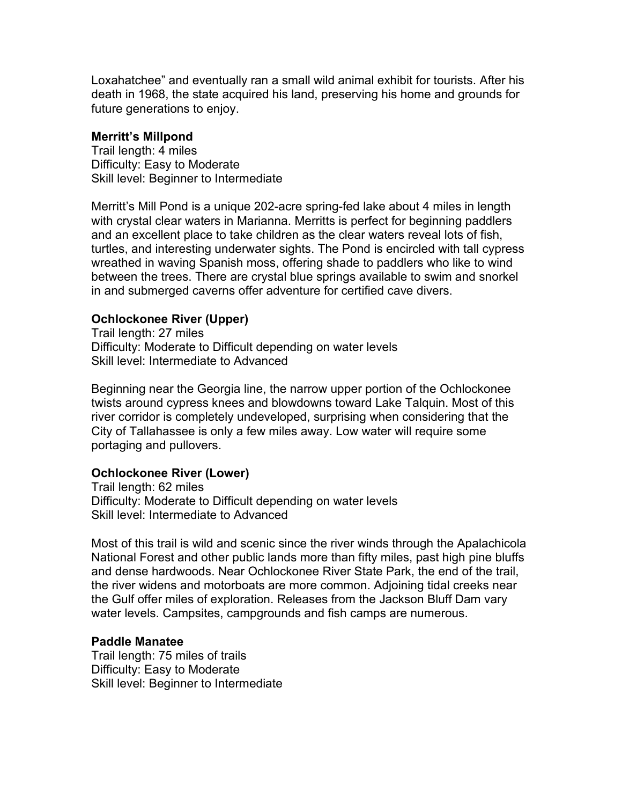Loxahatchee" and eventually ran a small wild animal exhibit for tourists. After his death in 1968, the state acquired his land, preserving his home and grounds for future generations to enjoy.

## **Merritt's Millpond**

Trail length: 4 miles Difficulty: Easy to Moderate Skill level: Beginner to Intermediate

Merritt's Mill Pond is a unique 202-acre spring-fed lake about 4 miles in length with crystal clear waters in Marianna. Merritts is perfect for beginning paddlers and an excellent place to take children as the clear waters reveal lots of fish, turtles, and interesting underwater sights. The Pond is encircled with tall cypress wreathed in waving Spanish moss, offering shade to paddlers who like to wind between the trees. There are crystal blue springs available to swim and snorkel in and submerged caverns offer adventure for certified cave divers.

## **Ochlockonee River (Upper)**

Trail length: 27 miles Difficulty: Moderate to Difficult depending on water levels Skill level: Intermediate to Advanced

Beginning near the Georgia line, the narrow upper portion of the Ochlockonee twists around cypress knees and blowdowns toward Lake Talquin. Most of this river corridor is completely undeveloped, surprising when considering that the City of Tallahassee is only a few miles away. Low water will require some portaging and pullovers.

# **Ochlockonee River (Lower)**

Trail length: 62 miles Difficulty: Moderate to Difficult depending on water levels Skill level: Intermediate to Advanced

Most of this trail is wild and scenic since the river winds through the Apalachicola National Forest and other public lands more than fifty miles, past high pine bluffs and dense hardwoods. Near Ochlockonee River State Park, the end of the trail, the river widens and motorboats are more common. Adjoining tidal creeks near the Gulf offer miles of exploration. Releases from the Jackson Bluff Dam vary water levels. Campsites, campgrounds and fish camps are numerous.

# **Paddle Manatee**

Trail length: 75 miles of trails Difficulty: Easy to Moderate Skill level: Beginner to Intermediate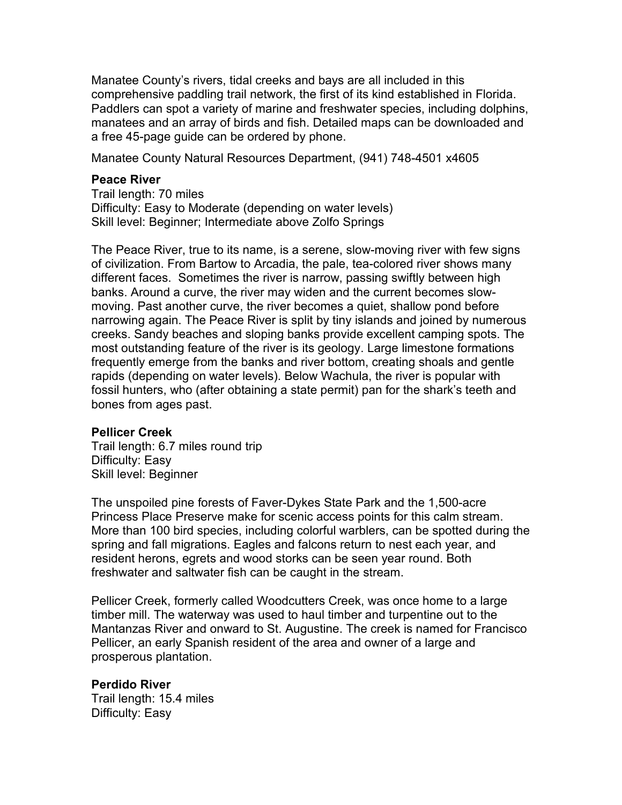Manatee County's rivers, tidal creeks and bays are all included in this comprehensive paddling trail network, the first of its kind established in Florida. Paddlers can spot a variety of marine and freshwater species, including dolphins, manatees and an array of birds and fish. Detailed maps can be downloaded and a free 45-page guide can be ordered by phone.

Manatee County Natural Resources Department, (941) 748-4501 x4605

#### **Peace River**

Trail length: 70 miles Difficulty: Easy to Moderate (depending on water levels) Skill level: Beginner; Intermediate above Zolfo Springs

The Peace River, true to its name, is a serene, slow-moving river with few signs of civilization. From Bartow to Arcadia, the pale, tea-colored river shows many different faces. Sometimes the river is narrow, passing swiftly between high banks. Around a curve, the river may widen and the current becomes slowmoving. Past another curve, the river becomes a quiet, shallow pond before narrowing again. The Peace River is split by tiny islands and joined by numerous creeks. Sandy beaches and sloping banks provide excellent camping spots. The most outstanding feature of the river is its geology. Large limestone formations frequently emerge from the banks and river bottom, creating shoals and gentle rapids (depending on water levels). Below Wachula, the river is popular with fossil hunters, who (after obtaining a state permit) pan for the shark's teeth and bones from ages past.

#### **Pellicer Creek**

Trail length: 6.7 miles round trip Difficulty: Easy Skill level: Beginner

The unspoiled pine forests of Faver-Dykes State Park and the 1,500-acre Princess Place Preserve make for scenic access points for this calm stream. More than 100 bird species, including colorful warblers, can be spotted during the spring and fall migrations. Eagles and falcons return to nest each year, and resident herons, egrets and wood storks can be seen year round. Both freshwater and saltwater fish can be caught in the stream.

Pellicer Creek, formerly called Woodcutters Creek, was once home to a large timber mill. The waterway was used to haul timber and turpentine out to the Mantanzas River and onward to St. Augustine. The creek is named for Francisco Pellicer, an early Spanish resident of the area and owner of a large and prosperous plantation.

#### **Perdido River**

Trail length: 15.4 miles Difficulty: Easy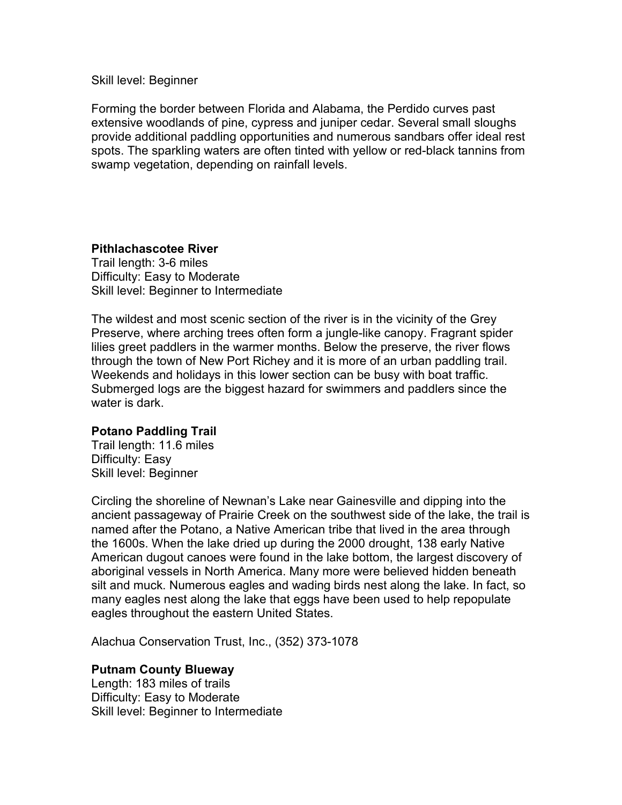Skill level: Beginner

Forming the border between Florida and Alabama, the Perdido curves past extensive woodlands of pine, cypress and juniper cedar. Several small sloughs provide additional paddling opportunities and numerous sandbars offer ideal rest spots. The sparkling waters are often tinted with yellow or red-black tannins from swamp vegetation, depending on rainfall levels.

# **Pithlachascotee River**

Trail length: 3-6 miles Difficulty: Easy to Moderate Skill level: Beginner to Intermediate

The wildest and most scenic section of the river is in the vicinity of the Grey Preserve, where arching trees often form a jungle-like canopy. Fragrant spider lilies greet paddlers in the warmer months. Below the preserve, the river flows through the town of New Port Richey and it is more of an urban paddling trail. Weekends and holidays in this lower section can be busy with boat traffic. Submerged logs are the biggest hazard for swimmers and paddlers since the water is dark.

# **Potano Paddling Trail**

Trail length: 11.6 miles Difficulty: Easy Skill level: Beginner

Circling the shoreline of Newnan's Lake near Gainesville and dipping into the ancient passageway of Prairie Creek on the southwest side of the lake, the trail is named after the Potano, a Native American tribe that lived in the area through the 1600s. When the lake dried up during the 2000 drought, 138 early Native American dugout canoes were found in the lake bottom, the largest discovery of aboriginal vessels in North America. Many more were believed hidden beneath silt and muck. Numerous eagles and wading birds nest along the lake. In fact, so many eagles nest along the lake that eggs have been used to help repopulate eagles throughout the eastern United States.

Alachua Conservation Trust, Inc., (352) 373-1078

## **Putnam County Blueway**

Length: 183 miles of trails Difficulty: Easy to Moderate Skill level: Beginner to Intermediate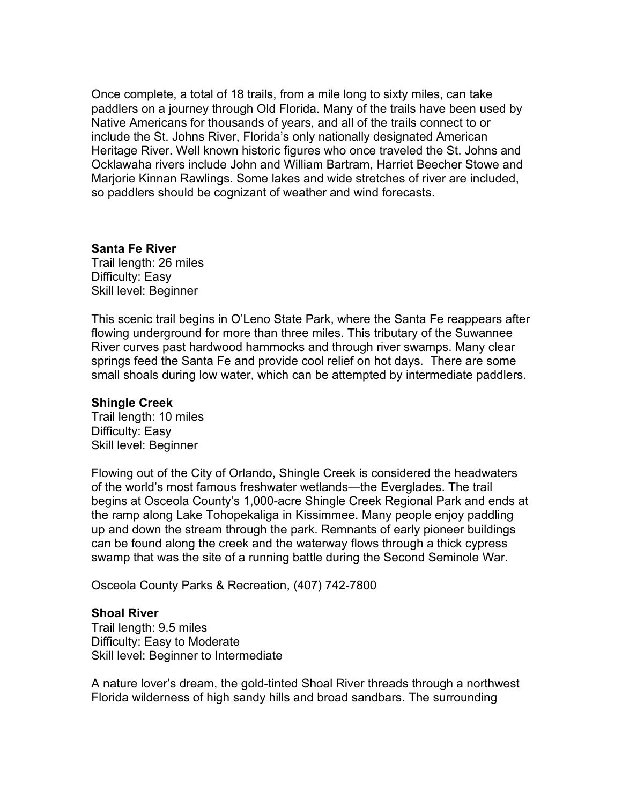Once complete, a total of 18 trails, from a mile long to sixty miles, can take paddlers on a journey through Old Florida. Many of the trails have been used by Native Americans for thousands of years, and all of the trails connect to or include the St. Johns River, Florida's only nationally designated American Heritage River. Well known historic figures who once traveled the St. Johns and Ocklawaha rivers include John and William Bartram, Harriet Beecher Stowe and Marjorie Kinnan Rawlings. Some lakes and wide stretches of river are included, so paddlers should be cognizant of weather and wind forecasts.

## **Santa Fe River**

Trail length: 26 miles Difficulty: Easy Skill level: Beginner

This scenic trail begins in O'Leno State Park, where the Santa Fe reappears after flowing underground for more than three miles. This tributary of the Suwannee River curves past hardwood hammocks and through river swamps. Many clear springs feed the Santa Fe and provide cool relief on hot days. There are some small shoals during low water, which can be attempted by intermediate paddlers.

## **Shingle Creek**

Trail length: 10 miles Difficulty: Easy Skill level: Beginner

Flowing out of the City of Orlando, Shingle Creek is considered the headwaters of the world's most famous freshwater wetlands—the Everglades. The trail begins at Osceola County's 1,000-acre Shingle Creek Regional Park and ends at the ramp along Lake Tohopekaliga in Kissimmee. Many people enjoy paddling up and down the stream through the park. Remnants of early pioneer buildings can be found along the creek and the waterway flows through a thick cypress swamp that was the site of a running battle during the Second Seminole War.

Osceola County Parks & Recreation, (407) 742-7800

## **Shoal River**

Trail length: 9.5 miles Difficulty: Easy to Moderate Skill level: Beginner to Intermediate

A nature lover's dream, the gold-tinted Shoal River threads through a northwest Florida wilderness of high sandy hills and broad sandbars. The surrounding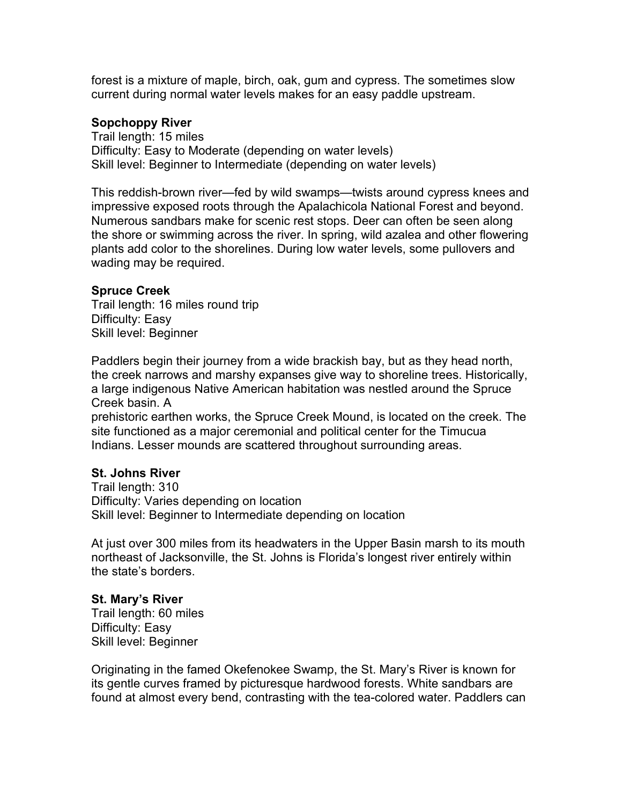forest is a mixture of maple, birch, oak, gum and cypress. The sometimes slow current during normal water levels makes for an easy paddle upstream.

## **Sopchoppy River**

Trail length: 15 miles Difficulty: Easy to Moderate (depending on water levels) Skill level: Beginner to Intermediate (depending on water levels)

This reddish-brown river—fed by wild swamps—twists around cypress knees and impressive exposed roots through the Apalachicola National Forest and beyond. Numerous sandbars make for scenic rest stops. Deer can often be seen along the shore or swimming across the river. In spring, wild azalea and other flowering plants add color to the shorelines. During low water levels, some pullovers and wading may be required.

## **Spruce Creek**

Trail length: 16 miles round trip Difficulty: Easy Skill level: Beginner

Paddlers begin their journey from a wide brackish bay, but as they head north, the creek narrows and marshy expanses give way to shoreline trees. Historically, a large indigenous Native American habitation was nestled around the Spruce Creek basin. A

prehistoric earthen works, the Spruce Creek Mound, is located on the creek. The site functioned as a major ceremonial and political center for the Timucua Indians. Lesser mounds are scattered throughout surrounding areas.

# **St. Johns River**

Trail length: 310 Difficulty: Varies depending on location Skill level: Beginner to Intermediate depending on location

At just over 300 miles from its headwaters in the Upper Basin marsh to its mouth northeast of Jacksonville, the St. Johns is Florida's longest river entirely within the state's borders.

# **St. Mary's River**

Trail length: 60 miles Difficulty: Easy Skill level: Beginner

Originating in the famed Okefenokee Swamp, the St. Mary's River is known for its gentle curves framed by picturesque hardwood forests. White sandbars are found at almost every bend, contrasting with the tea-colored water. Paddlers can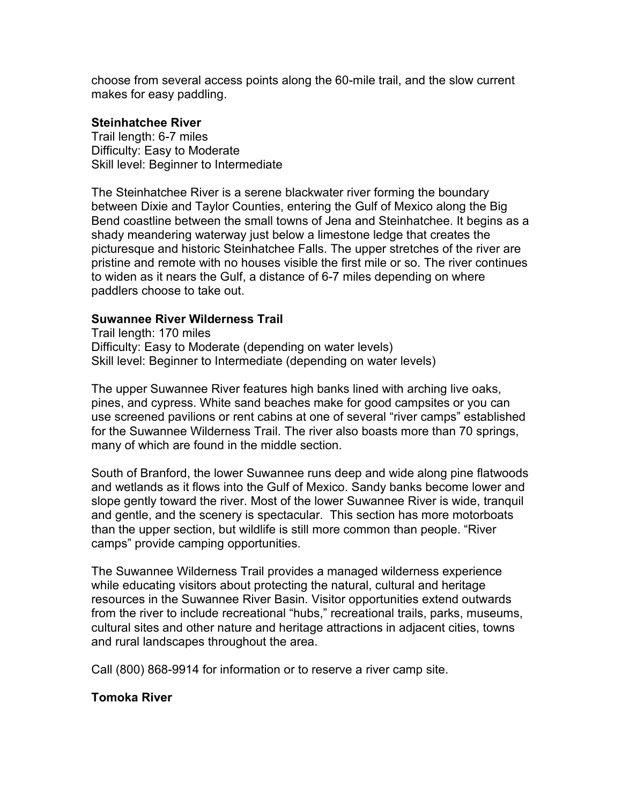choose from several access points along the 60-mile trail, and the slow current makes for easy paddling.

## **Steinhatchee River**

Trail length: 6-7 miles Difficulty: Easy to Moderate Skill level: Beginner to Intermediate

The Steinhatchee River is a serene blackwater river forming the boundary between Dixie and Taylor Counties, entering the Gulf of Mexico along the Big Bend coastline between the small towns of Jena and Steinhatchee. It begins as a shady meandering waterway just below a limestone ledge that creates the picturesque and historic Steinhatchee Falls. The upper stretches of the river are pristine and remote with no houses visible the first mile or so. The river continues to widen as it nears the Gulf, a distance of 6-7 miles depending on where paddlers choose to take out.

# **Suwannee River Wilderness Trail**

Trail length: 170 miles Difficulty: Easy to Moderate (depending on water levels) Skill level: Beginner to Intermediate (depending on water levels)

The upper Suwannee River features high banks lined with arching live oaks, pines, and cypress. White sand beaches make for good campsites or you can use screened pavilions or rent cabins at one of several "river camps" established for the Suwannee Wilderness Trail. The river also boasts more than 70 springs, many of which are found in the middle section.

South of Branford, the lower Suwannee runs deep and wide along pine flatwoods and wetlands as it flows into the Gulf of Mexico. Sandy banks become lower and slope gently toward the river. Most of the lower Suwannee River is wide, tranquil and gentle, and the scenery is spectacular. This section has more motorboats than the upper section, but wildlife is still more common than people. "River camps" provide camping opportunities.

The Suwannee Wilderness Trail provides a managed wilderness experience while educating visitors about protecting the natural, cultural and heritage resources in the Suwannee River Basin. Visitor opportunities extend outwards from the river to include recreational "hubs," recreational trails, parks, museums, cultural sites and other nature and heritage attractions in adjacent cities, towns and rural landscapes throughout the area.

Call (800) 868-9914 for information or to reserve a river camp site.

# **Tomoka River**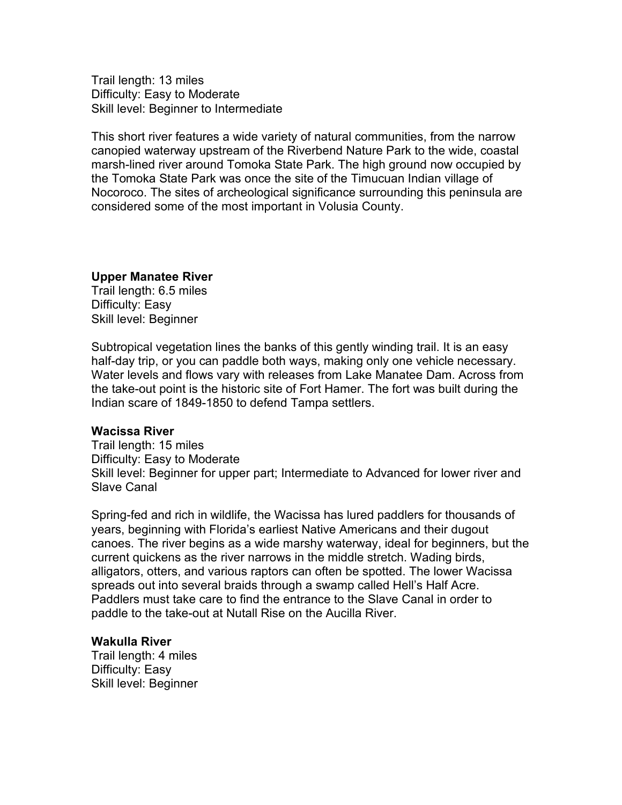Trail length: 13 miles Difficulty: Easy to Moderate Skill level: Beginner to Intermediate

This short river features a wide variety of natural communities, from the narrow canopied waterway upstream of the Riverbend Nature Park to the wide, coastal marsh-lined river around Tomoka State Park. The high ground now occupied by the Tomoka State Park was once the site of the Timucuan Indian village of Nocoroco. The sites of archeological significance surrounding this peninsula are considered some of the most important in Volusia County.

## **Upper Manatee River**

Trail length: 6.5 miles Difficulty: Easy Skill level: Beginner

Subtropical vegetation lines the banks of this gently winding trail. It is an easy half-day trip, or you can paddle both ways, making only one vehicle necessary. Water levels and flows vary with releases from Lake Manatee Dam. Across from the take-out point is the historic site of Fort Hamer. The fort was built during the Indian scare of 1849-1850 to defend Tampa settlers.

## **Wacissa River**

Trail length: 15 miles Difficulty: Easy to Moderate Skill level: Beginner for upper part; Intermediate to Advanced for lower river and Slave Canal

Spring-fed and rich in wildlife, the Wacissa has lured paddlers for thousands of years, beginning with Florida's earliest Native Americans and their dugout canoes. The river begins as a wide marshy waterway, ideal for beginners, but the current quickens as the river narrows in the middle stretch. Wading birds, alligators, otters, and various raptors can often be spotted. The lower Wacissa spreads out into several braids through a swamp called Hell's Half Acre. Paddlers must take care to find the entrance to the Slave Canal in order to paddle to the take-out at Nutall Rise on the Aucilla River.

## **Wakulla River**

Trail length: 4 miles Difficulty: Easy Skill level: Beginner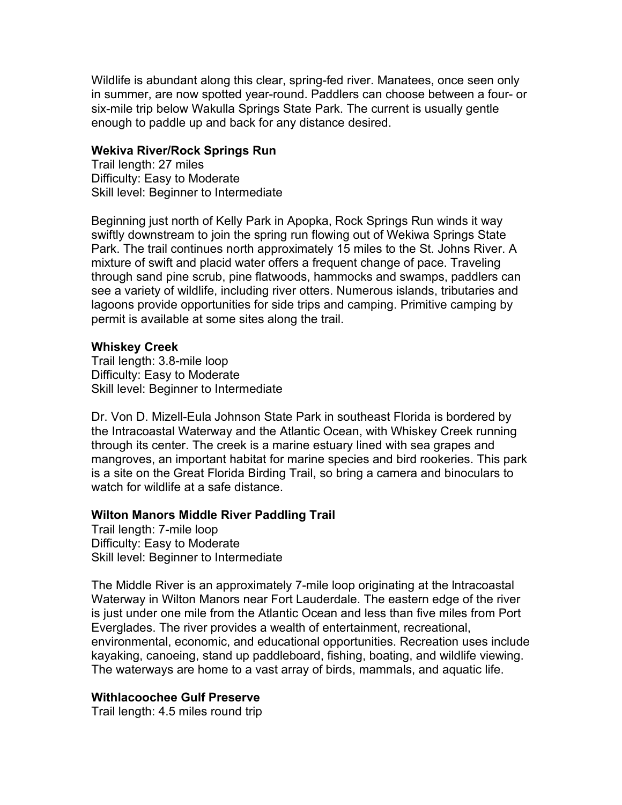Wildlife is abundant along this clear, spring-fed river. Manatees, once seen only in summer, are now spotted year-round. Paddlers can choose between a four- or six-mile trip below Wakulla Springs State Park. The current is usually gentle enough to paddle up and back for any distance desired.

## **Wekiva River/Rock Springs Run**

Trail length: 27 miles Difficulty: Easy to Moderate Skill level: Beginner to Intermediate

Beginning just north of Kelly Park in Apopka, Rock Springs Run winds it way swiftly downstream to join the spring run flowing out of Wekiwa Springs State Park. The trail continues north approximately 15 miles to the St. Johns River. A mixture of swift and placid water offers a frequent change of pace. Traveling through sand pine scrub, pine flatwoods, hammocks and swamps, paddlers can see a variety of wildlife, including river otters. Numerous islands, tributaries and lagoons provide opportunities for side trips and camping. Primitive camping by permit is available at some sites along the trail.

# **Whiskey Creek**

Trail length: 3.8-mile loop Difficulty: Easy to Moderate Skill level: Beginner to Intermediate

Dr. Von D. Mizell-Eula Johnson State Park in southeast Florida is bordered by the Intracoastal Waterway and the Atlantic Ocean, with Whiskey Creek running through its center. The creek is a marine estuary lined with sea grapes and mangroves, an important habitat for marine species and bird rookeries. This park is a site on the Great Florida Birding Trail, so bring a camera and binoculars to watch for wildlife at a safe distance.

# **Wilton Manors Middle River Paddling Trail**

Trail length: 7-mile loop Difficulty: Easy to Moderate Skill level: Beginner to Intermediate

The Middle River is an approximately 7-mile loop originating at the lntracoastal Waterway in Wilton Manors near Fort Lauderdale. The eastern edge of the river is just under one mile from the Atlantic Ocean and less than five miles from Port Everglades. The river provides a wealth of entertainment, recreational, environmental, economic, and educational opportunities. Recreation uses include kayaking, canoeing, stand up paddleboard, fishing, boating, and wildlife viewing. The waterways are home to a vast array of birds, mammals, and aquatic life.

# **Withlacoochee Gulf Preserve**

Trail length: 4.5 miles round trip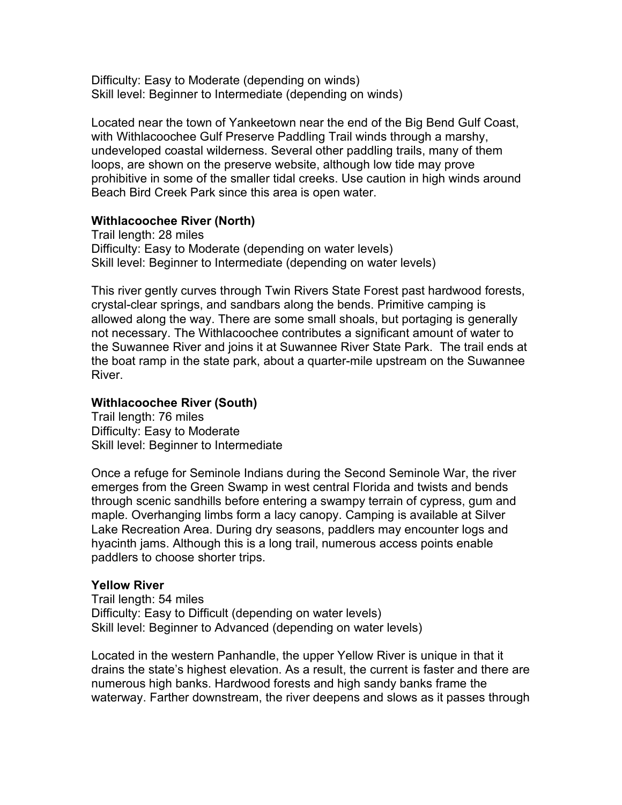Difficulty: Easy to Moderate (depending on winds) Skill level: Beginner to Intermediate (depending on winds)

Located near the town of Yankeetown near the end of the Big Bend Gulf Coast, with Withlacoochee Gulf Preserve Paddling Trail winds through a marshy, undeveloped coastal wilderness. Several other paddling trails, many of them loops, are shown on the preserve website, although low tide may prove prohibitive in some of the smaller tidal creeks. Use caution in high winds around Beach Bird Creek Park since this area is open water.

## **Withlacoochee River (North)**

Trail length: 28 miles Difficulty: Easy to Moderate (depending on water levels) Skill level: Beginner to Intermediate (depending on water levels)

This river gently curves through Twin Rivers State Forest past hardwood forests, crystal-clear springs, and sandbars along the bends. Primitive camping is allowed along the way. There are some small shoals, but portaging is generally not necessary. The Withlacoochee contributes a significant amount of water to the Suwannee River and joins it at Suwannee River State Park. The trail ends at the boat ramp in the state park, about a quarter-mile upstream on the Suwannee River.

## **Withlacoochee River (South)**

Trail length: 76 miles Difficulty: Easy to Moderate Skill level: Beginner to Intermediate

Once a refuge for Seminole Indians during the Second Seminole War, the river emerges from the Green Swamp in west central Florida and twists and bends through scenic sandhills before entering a swampy terrain of cypress, gum and maple. Overhanging limbs form a lacy canopy. Camping is available at Silver Lake Recreation Area. During dry seasons, paddlers may encounter logs and hyacinth jams. Although this is a long trail, numerous access points enable paddlers to choose shorter trips.

## **Yellow River**

Trail length: 54 miles Difficulty: Easy to Difficult (depending on water levels) Skill level: Beginner to Advanced (depending on water levels)

Located in the western Panhandle, the upper Yellow River is unique in that it drains the state's highest elevation. As a result, the current is faster and there are numerous high banks. Hardwood forests and high sandy banks frame the waterway. Farther downstream, the river deepens and slows as it passes through